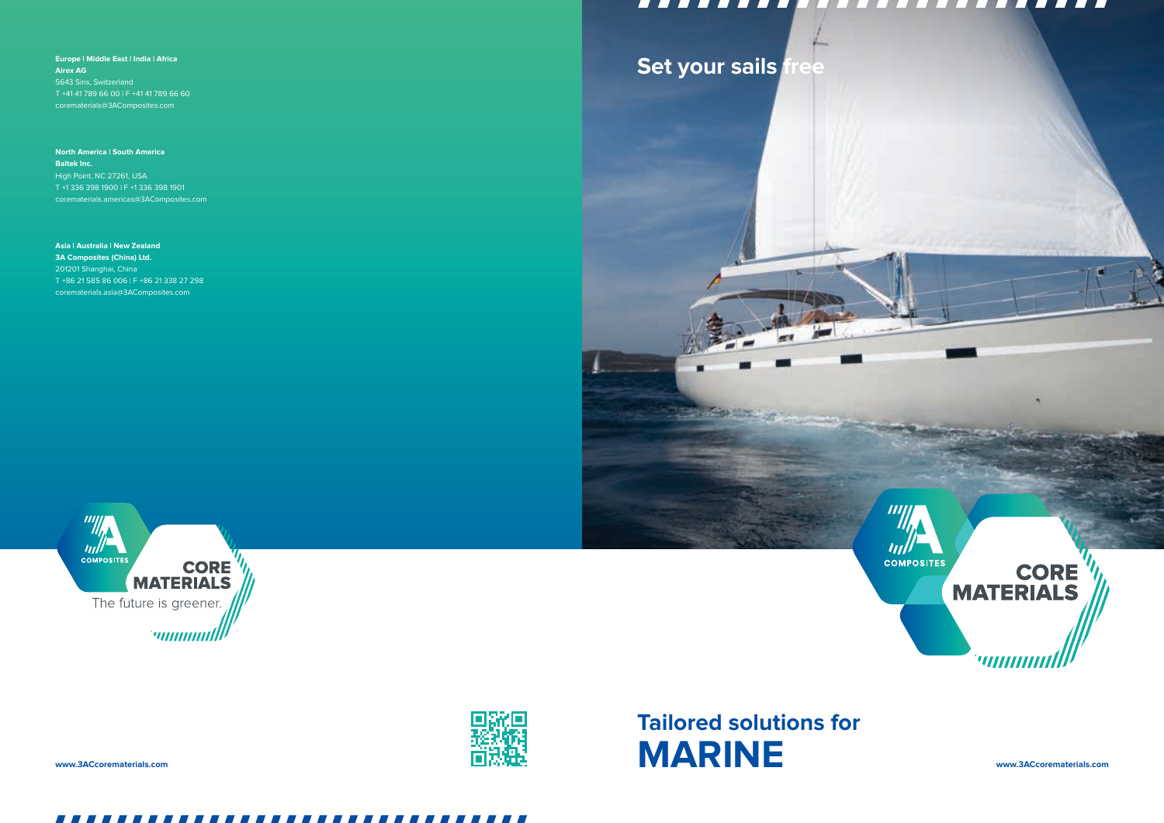**Europe | Middle East | India | Africa Airex AG**  5643 Sins, Switzerland T +41 41 789 66 00 | F +41 41 789 66 60 corematerials@3AComposites.com

**North America | South America Baltek Inc.** High Point, NC 27261, USA T +1 336 398 1900 | F +1 336 398 1901 corematerials.americas@3AComposites.com

WWW.3ACcorematerials.com www.3ACcorematerials.com www.3ACcorematerials.com **Tailored solutions for**

### ------------------------ $\blacksquare$

**IIII** 

**COMPOSITES** 

**Asia | Australia | New Zealand 3A Composites (China) Ltd.** 201201 Shanghai, China T +86 21 585 86 006 | F +86 21 338 27 298 corematerials.asia@3AComposites.com





# **Set your sails free**



**CORE**<br>MATERIALS

וווווווווי<sup>י</sup>